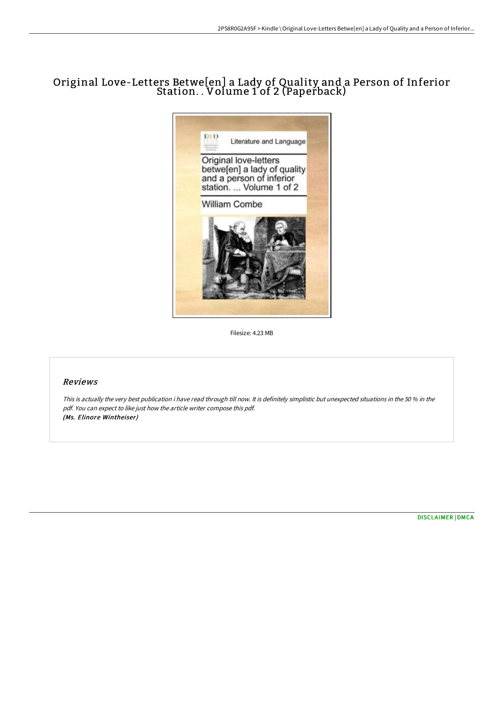## Original Love-Letters Betwe[en] a Lady of Quality and a Person of Inferior Station. . Volume 1 of 2 (Paperback)



Filesize: 4.23 MB

## Reviews

This is actually the very best publication i have read through till now. It is definitely simplistic but unexpected situations in the <sup>50</sup> % in the pdf. You can expect to like just how the article writer compose this pdf. (Ms. Elinore Wintheiser)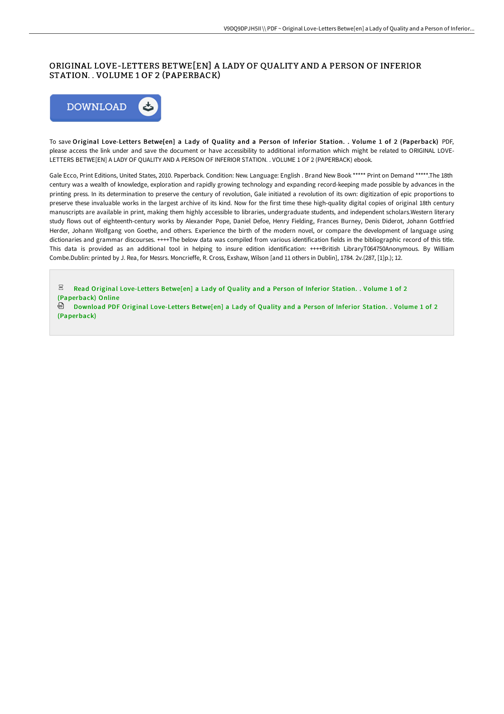## ORIGINAL LOVE-LETTERS BETWE[EN] A LADY OF QUALITY AND A PERSON OF INFERIOR STATION. . VOLUME 1 OF 2 (PAPERBACK)



To save Original Love-Letters Betwe[en] a Lady of Quality and a Person of Inferior Station. . Volume 1 of 2 (Paperback) PDF, please access the link under and save the document or have accessibility to additional information which might be related to ORIGINAL LOVE-LETTERS BETWE[EN] A LADY OF QUALITY AND A PERSON OF INFERIOR STATION. . VOLUME 1 OF 2 (PAPERBACK) ebook.

Gale Ecco, Print Editions, United States, 2010. Paperback. Condition: New. Language: English . Brand New Book \*\*\*\*\* Print on Demand \*\*\*\*\*.The 18th century was a wealth of knowledge, exploration and rapidly growing technology and expanding record-keeping made possible by advances in the printing press. In its determination to preserve the century of revolution, Gale initiated a revolution of its own: digitization of epic proportions to preserve these invaluable works in the largest archive of its kind. Now for the first time these high-quality digital copies of original 18th century manuscripts are available in print, making them highly accessible to libraries, undergraduate students, and independent scholars.Western literary study flows out of eighteenth-century works by Alexander Pope, Daniel Defoe, Henry Fielding, Frances Burney, Denis Diderot, Johann Gottfried Herder, Johann Wolfgang von Goethe, and others. Experience the birth of the modern novel, or compare the development of language using dictionaries and grammar discourses. ++++The below data was compiled from various identification fields in the bibliographic record of this title. This data is provided as an additional tool in helping to insure edition identification: ++++British LibraryT064750Anonymous. By William Combe.Dublin: printed by J. Rea, for Messrs. Moncrieffe, R. Cross, Exshaw, Wilson [and 11 others in Dublin], 1784. 2v.(287, [1]p.); 12.

PDF Read Original Love-Letters Betwelen] a Lady of Quality and a Person of Inferior Station. . Volume 1 of 2 [\(Paperback\)](http://techno-pub.tech/original-love-letters-betwe-en-a-lady-of-quality-1.html) Online

**Download PDF Original Love-Letters Betwe[en] a Lady of Quality and a Person of Inferior Station. . Volume 1 of 2** [\(Paperback\)](http://techno-pub.tech/original-love-letters-betwe-en-a-lady-of-quality-1.html)